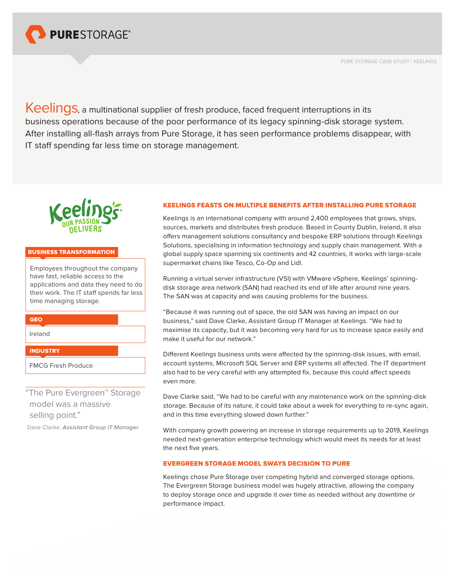

PURE STORAGE CASE STUDY | KEELINGS

Keelings, a multinational supplier of fresh produce, faced frequent interruptions in its business operations because of the poor performance of its legacy spinning-disk storage system. After installing all-flash arrays from Pure Storage, it has seen performance problems disappear, with IT staff spending far less time on storage management.



### BUSINESS TRANSFORMATION

Employees throughout the company have fast, reliable access to the applications and data they need to do their work. The IT staff spends far less time managing storage.

**GEO** 

Ireland

# **INDUSTRY**

FMCG Fresh Produce

"The Pure Evergreen™ Storage model was a massive selling point."

Dave Clarke, *Assistant Group IT Manager*

# KEELINGS FEASTS ON MULTIPLE BENEFITS AFTER INSTALLING PURE STORAGE

Keelings is an international company with around 2,400 employees that grows, ships, sources, markets and distributes fresh produce. Based in County Dublin, Ireland, it also offers management solutions consultancy and bespoke ERP solutions through Keelings Solutions, specialising in information technology and supply chain management. With a global supply space spanning six continents and 42 countries, it works with large-scale supermarket chains like Tesco, Co-Op and Lidl.

Running a virtual server infrastructure (VSI) with VMware vSphere, Keelings' spinningdisk storage area network (SAN) had reached its end of life after around nine years. The SAN was at capacity and was causing problems for the business.

"Because it was running out of space, the old SAN was having an impact on our business," said Dave Clarke, Assistant Group IT Manager at Keelings. "We had to maximise its capacity, but it was becoming very hard for us to increase space easily and make it useful for our network."

Different Keelings business units were affected by the spinning-disk issues, with email, account systems, Microsoft SQL Server and ERP systems all affected. The IT department also had to be very careful with any attempted fix, because this could affect speeds even more.

Dave Clarke said, "We had to be careful with any maintenance work on the spinning-disk storage. Because of its nature, it could take about a week for everything to re-sync again, and in this time everything slowed down further."

With company growth powering an increase in storage requirements up to 2019, Keelings needed next-generation enterprise technology which would meet its needs for at least the next five years.

# EVERGREEN STORAGE MODEL SWAYS DECISION TO PURE

Keelings chose Pure Storage over competing hybrid and converged storage options. The Evergreen Storage business model was hugely attractive, allowing the company to deploy storage once and upgrade it over time as needed without any downtime or performance impact.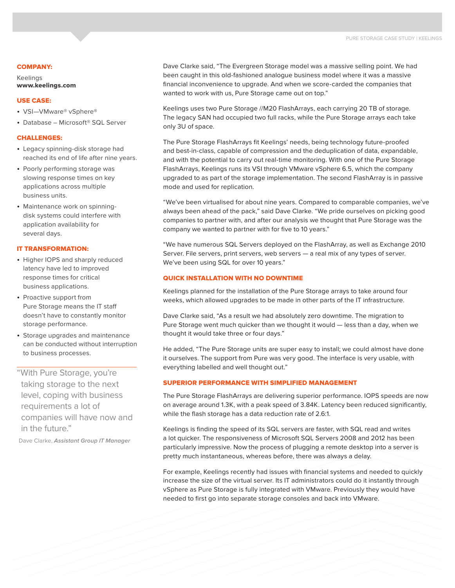### COMPANY:

Keelings [www.keelings.com](http://www.keelings.com)

## USE CASE:

- VSI-VMware® vSphere®
- Database Microsoft<sup>®</sup> SQL Server

#### CHALLENGES:

- • Legacy spinning-disk storage had reached its end of life after nine years.
- Poorly performing storage was slowing response times on key applications across multiple business units.
- Maintenance work on spinningdisk systems could interfere with application availability for several days.

## IT TRANSFORMATION:

- Higher IOPS and sharply reduced latency have led to improved response times for critical business applications.
- Proactive support from Pure Storage means the IT staff doesn't have to constantly monitor storage performance.
- • Storage upgrades and maintenance can be conducted without interruption to business processes.

"With Pure Storage, you're taking storage to the next level, coping with business requirements a lot of companies will have now and in the future."

Dave Clarke, *Assistant Group IT Manager*

Dave Clarke said, "The Evergreen Storage model was a massive selling point. We had been caught in this old-fashioned analogue business model where it was a massive financial inconvenience to upgrade. And when we score-carded the companies that wanted to work with us, Pure Storage came out on top."

Keelings uses two Pure Storage //M20 FlashArrays, each carrying 20 TB of storage. The legacy SAN had occupied two full racks, while the Pure Storage arrays each take only 3U of space.

The Pure Storage FlashArrays fit Keelings' needs, being technology future-proofed and best-in-class, capable of compression and the deduplication of data, expandable, and with the potential to carry out real-time monitoring. With one of the Pure Storage FlashArrays, Keelings runs its VSI through VMware vSphere 6.5, which the company upgraded to as part of the storage implementation. The second FlashArray is in passive mode and used for replication.

"We've been virtualised for about nine years. Compared to comparable companies, we've always been ahead of the pack," said Dave Clarke. "We pride ourselves on picking good companies to partner with, and after our analysis we thought that Pure Storage was the company we wanted to partner with for five to 10 years."

"We have numerous SQL Servers deployed on the FlashArray, as well as Exchange 2010 Server. File servers, print servers, web servers — a real mix of any types of server. We've been using SQL for over 10 years."

### QUICK INSTALLATION WITH NO DOWNTIME

Keelings planned for the installation of the Pure Storage arrays to take around four weeks, which allowed upgrades to be made in other parts of the IT infrastructure.

Dave Clarke said, "As a result we had absolutely zero downtime. The migration to Pure Storage went much quicker than we thought it would — less than a day, when we thought it would take three or four days."

He added, "The Pure Storage units are super easy to install; we could almost have done it ourselves. The support from Pure was very good. The interface is very usable, with everything labelled and well thought out."

# SUPERIOR PERFORMANCE WITH SIMPLIFIED MANAGEMENT

The Pure Storage FlashArrays are delivering superior performance. IOPS speeds are now on average around 1.3K, with a peak speed of 3.84K. Latency been reduced significantly, while the flash storage has a data reduction rate of 2.6:1.

Keelings is finding the speed of its SQL servers are faster, with SQL read and writes a lot quicker. The responsiveness of Microsoft SQL Servers 2008 and 2012 has been particularly impressive. Now the process of plugging a remote desktop into a server is pretty much instantaneous, whereas before, there was always a delay.

For example, Keelings recently had issues with financial systems and needed to quickly increase the size of the virtual server. Its IT administrators could do it instantly through vSphere as Pure Storage is fully integrated with VMware. Previously they would have needed to first go into separate storage consoles and back into VMware.